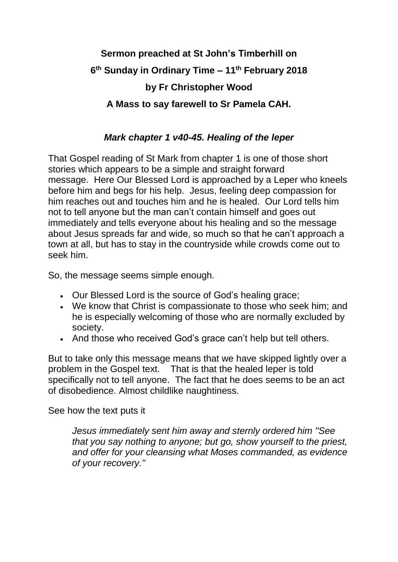## **Sermon preached at St John's Timberhill on 6 th Sunday in Ordinary Time – 11th February 2018 by Fr Christopher Wood A Mass to say farewell to Sr Pamela CAH.**

## *Mark chapter 1 v40-45. Healing of the leper*

That Gospel reading of St Mark from chapter 1 is one of those short stories which appears to be a simple and straight forward message. Here Our Blessed Lord is approached by a Leper who kneels before him and begs for his help. Jesus, feeling deep compassion for him reaches out and touches him and he is healed. Our Lord tells him not to tell anyone but the man can't contain himself and goes out immediately and tells everyone about his healing and so the message about Jesus spreads far and wide, so much so that he can't approach a town at all, but has to stay in the countryside while crowds come out to seek him.

So, the message seems simple enough.

- Our Blessed Lord is the source of God's healing grace;
- We know that Christ is compassionate to those who seek him; and he is especially welcoming of those who are normally excluded by society.
- And those who received God's grace can't help but tell others.

But to take only this message means that we have skipped lightly over a problem in the Gospel text. That is that the healed leper is told specifically not to tell anyone. The fact that he does seems to be an act of disobedience. Almost childlike naughtiness.

## See how the text puts it

*Jesus immediately sent him away and sternly ordered him "See that you say nothing to anyone; but go, show yourself to the priest, and offer for your cleansing what Moses commanded, as evidence of your recovery."*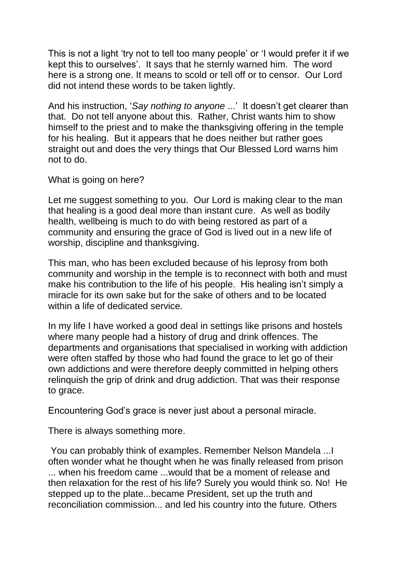This is not a light 'try not to tell too many people' or 'I would prefer it if we kept this to ourselves'. It says that he sternly warned him. The word here is a strong one. It means to scold or tell off or to censor. Our Lord did not intend these words to be taken lightly.

And his instruction, '*Say nothing to anyone* ...' It doesn't get clearer than that. Do not tell anyone about this. Rather, Christ wants him to show himself to the priest and to make the thanksgiving offering in the temple for his healing. But it appears that he does neither but rather goes straight out and does the very things that Our Blessed Lord warns him not to do.

What is going on here?

Let me suggest something to you. Our Lord is making clear to the man that healing is a good deal more than instant cure. As well as bodily health, wellbeing is much to do with being restored as part of a community and ensuring the grace of God is lived out in a new life of worship, discipline and thanksgiving.

This man, who has been excluded because of his leprosy from both community and worship in the temple is to reconnect with both and must make his contribution to the life of his people. His healing isn't simply a miracle for its own sake but for the sake of others and to be located within a life of dedicated service.

In my life I have worked a good deal in settings like prisons and hostels where many people had a history of drug and drink offences. The departments and organisations that specialised in working with addiction were often staffed by those who had found the grace to let go of their own addictions and were therefore deeply committed in helping others relinquish the grip of drink and drug addiction. That was their response to grace.

Encountering God's grace is never just about a personal miracle.

There is always something more.

You can probably think of examples. Remember Nelson Mandela ...I often wonder what he thought when he was finally released from prison ... when his freedom came ...would that be a moment of release and then relaxation for the rest of his life? Surely you would think so. No! He stepped up to the plate...became President, set up the truth and reconciliation commission... and led his country into the future. Others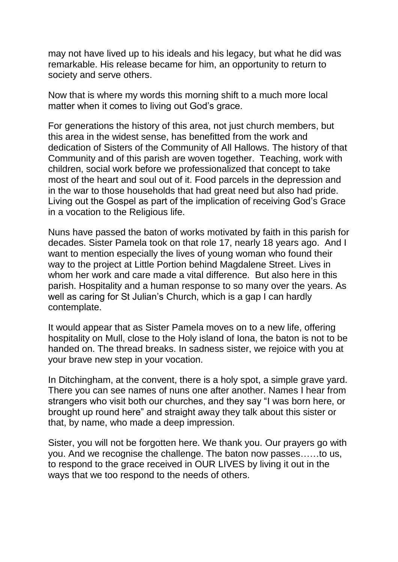may not have lived up to his ideals and his legacy, but what he did was remarkable. His release became for him, an opportunity to return to society and serve others.

Now that is where my words this morning shift to a much more local matter when it comes to living out God's grace.

For generations the history of this area, not just church members, but this area in the widest sense, has benefitted from the work and dedication of Sisters of the Community of All Hallows. The history of that Community and of this parish are woven together. Teaching, work with children, social work before we professionalized that concept to take most of the heart and soul out of it. Food parcels in the depression and in the war to those households that had great need but also had pride. Living out the Gospel as part of the implication of receiving God's Grace in a vocation to the Religious life.

Nuns have passed the baton of works motivated by faith in this parish for decades. Sister Pamela took on that role 17, nearly 18 years ago. And I want to mention especially the lives of young woman who found their way to the project at Little Portion behind Magdalene Street. Lives in whom her work and care made a vital difference. But also here in this parish. Hospitality and a human response to so many over the years. As well as caring for St Julian's Church, which is a gap I can hardly contemplate.

It would appear that as Sister Pamela moves on to a new life, offering hospitality on Mull, close to the Holy island of Iona, the baton is not to be handed on. The thread breaks. In sadness sister, we rejoice with you at your brave new step in your vocation.

In Ditchingham, at the convent, there is a holy spot, a simple grave yard. There you can see names of nuns one after another. Names I hear from strangers who visit both our churches, and they say "I was born here, or brought up round here" and straight away they talk about this sister or that, by name, who made a deep impression.

Sister, you will not be forgotten here. We thank you. Our prayers go with you. And we recognise the challenge. The baton now passes……to us, to respond to the grace received in OUR LIVES by living it out in the ways that we too respond to the needs of others.